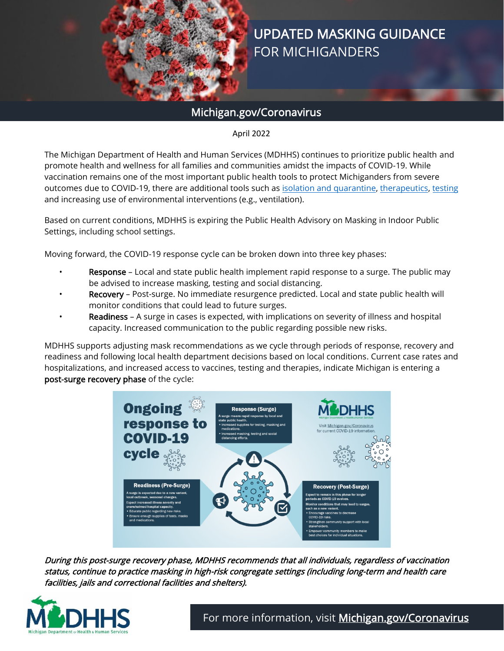

# UPDATED MASKING GUIDANCE FOR MICHIGANDERS

# Michigan.gov/Coronavirus

# April 2022

The Michigan Department of Health and Human Services (MDHHS) continues to prioritize public health and promote health and wellness for all families and communities amidst the impacts of COVID-19. While vaccination remains one of the most important public health tools to protect Michiganders from severe outcomes due to COVID-19, there are additional tools such as [isolation and quarantine,](http://www.michigan.gov/containcovid) [therapeutics,](http://www.michigan.gov/covidtherapy) [testing](http://www.michigan.gov/covidtest) and increasing use of environmental interventions (e.g., ventilation).

Based on current conditions, MDHHS is expiring the Public Health Advisory on Masking in Indoor Public Settings, including school settings.

Moving forward, the COVID-19 response cycle can be broken down into three key phases:

- Response Local and state public health implement rapid response to a surge. The public may be advised to increase masking, testing and social distancing.
- Recovery Post-surge. No immediate resurgence predicted. Local and state public health will monitor conditions that could lead to future surges.
- Readiness A surge in cases is expected, with implications on severity of illness and hospital capacity. Increased communication to the public regarding possible new risks.

MDHHS supports adjusting mask recommendations as we cycle through periods of response, recovery and readiness and following local health department decisions based on local conditions. Current case rates and hospitalizations, and increased access to vaccines, testing and therapies, indicate Michigan is entering a post-surge recovery phase of the cycle:



During this post-surge recovery phase, MDHHS recommends that all individuals, regardless of vaccination status, continue to practice masking in high-risk congregate settings (including long-term and health care facilities, jails and correctional facilities and shelters).

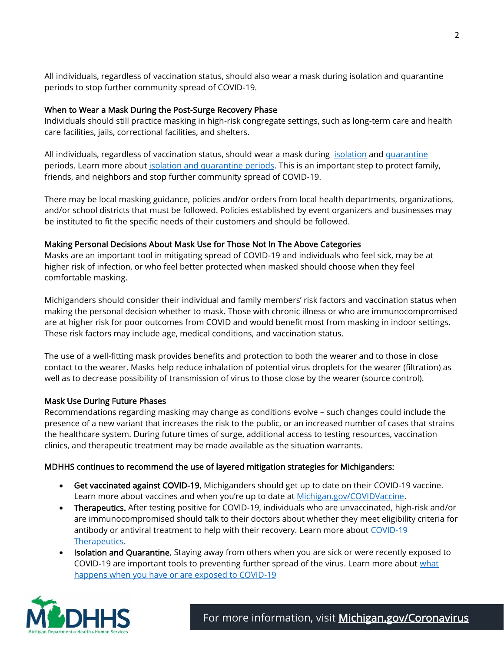All individuals, regardless of vaccination status, should also wear a mask during isolation and quarantine periods to stop further community spread of COVID-19.

#### When to Wear a Mask During the Post-Surge Recovery Phase

Individuals should still practice masking in high-risk congregate settings, such as long-term care and health care facilities, jails, correctional facilities, and shelters.

All individuals, regardless of vaccination status, should wear a mask during [isolation](https://www.michigan.gov/images/coronavirus/Isolation-02_747969_7.png) and [quarantine](https://www.michigan.gov/images/coronavirus/Quarantine-04_747970_7.png) periods. Learn more about [isolation and quarantine periods.](https://www.cdc.gov/coronavirus/2019-ncov/your-health/quarantine-isolation.html?CDC_AA_refVal=https%3A%2F%2Fwww.cdc.gov%2Fcoronavirus%2F2019-ncov%2Fif-you-are-sick%2Fquarantine-isolation.html) This is an important step to protect family, friends, and neighbors and stop further community spread of COVID-19.

There may be local masking guidance, policies and/or orders from local health departments, organizations, and/or school districts that must be followed. Policies established by event organizers and businesses may be instituted to fit the specific needs of their customers and should be followed.

#### Making Personal Decisions About Mask Use for Those Not In The Above Categories

Masks are an important tool in mitigating spread of COVID-19 and individuals who feel sick, may be at higher risk of infection, or who feel better protected when masked should choose when they feel comfortable masking.

Michiganders should consider their individual and family members' risk factors and vaccination status when making the personal decision whether to mask. Those with chronic illness or who are immunocompromised are at higher risk for poor outcomes from COVID and would benefit most from masking in indoor settings. These risk factors may include age, medical conditions, and vaccination status.

The use of a well-fitting mask provides benefits and protection to both the wearer and to those in close contact to the wearer. Masks help reduce inhalation of potential virus droplets for the wearer (filtration) as well as to decrease possibility of transmission of virus to those close by the wearer (source control).

## Mask Use During Future Phases

Recommendations regarding masking may change as conditions evolve – such changes could include the presence of a new variant that increases the risk to the public, or an increased number of cases that strains the healthcare system. During future times of surge, additional access to testing resources, vaccination clinics, and therapeutic treatment may be made available as the situation warrants.

## MDHHS continues to recommend the use of layered mitigation strategies for Michiganders:

- Get vaccinated against COVID-19. Michiganders should get up to date on their COVID-19 vaccine. Learn more about vaccines and when you're up to date at **Michigan.gov/COVIDVaccine**.
- Therapeutics. After testing positive for COVID-19, individuals who are unvaccinated, high-risk and/or are immunocompromised should talk to their doctors about whether they meet eligibility criteria for antibody or antiviral treatment to help with their recovery. Learn more about [COVID-19](https://www.michigan.gov/coronavirus/0,9753,7-406-98178_106077---,00.html) [Therapeutics.](https://www.michigan.gov/coronavirus/0,9753,7-406-98178_106077---,00.html)
- Isolation and Quarantine. Staying away from others when you are sick or were recently exposed to COVID-19 are important tools to preventing further spread of the virus. Learn more about [what](https://www.michigan.gov/coronavirus/0,9753,7-406-99891---,00.html) [happens when you have or are exposed to COVID-19](https://www.michigan.gov/coronavirus/0,9753,7-406-99891---,00.html)